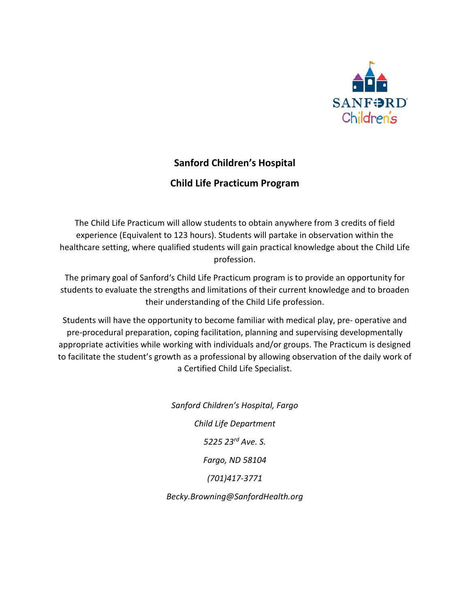

# **Sanford Children's Hospital**

# **Child Life Practicum Program**

The Child Life Practicum will allow students to obtain anywhere from 3 credits of field experience (Equivalent to 123 hours). Students will partake in observation within the healthcare setting, where qualified students will gain practical knowledge about the Child Life profession.

The primary goal of Sanford's Child Life Practicum program is to provide an opportunity for students to evaluate the strengths and limitations of their current knowledge and to broaden their understanding of the Child Life profession.

Students will have the opportunity to become familiar with medical play, pre- operative and pre-procedural preparation, coping facilitation, planning and supervising developmentally appropriate activities while working with individuals and/or groups. The Practicum is designed to facilitate the student's growth as a professional by allowing observation of the daily work of a Certified Child Life Specialist.

> *Sanford Children's Hospital, Fargo Child Life Department 5225 23rd Ave. S. Fargo, ND 58104 (701)417-3771*

*Becky.Browning@SanfordHealth.org*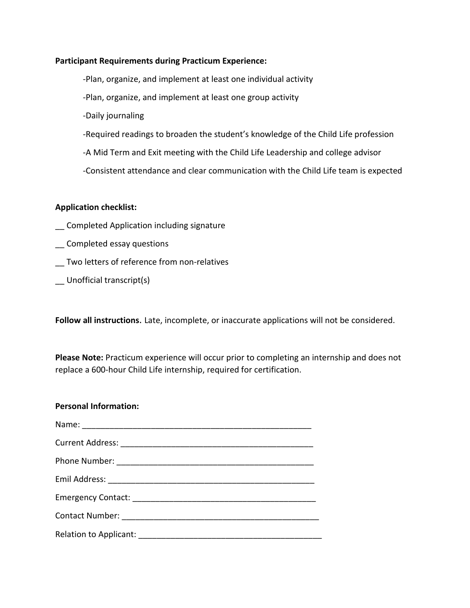### **Participant Requirements during Practicum Experience:**

-Plan, organize, and implement at least one individual activity

-Plan, organize, and implement at least one group activity

-Daily journaling

-Required readings to broaden the student's knowledge of the Child Life profession

-A Mid Term and Exit meeting with the Child Life Leadership and college advisor

-Consistent attendance and clear communication with the Child Life team is expected

#### **Application checklist:**

- \_\_ Completed Application including signature
- \_\_ Completed essay questions
- \_\_ Two letters of reference from non-relatives
- \_\_ Unofficial transcript(s)

**Follow all instructions**. Late, incomplete, or inaccurate applications will not be considered.

**Please Note:** Practicum experience will occur prior to completing an internship and does not replace a 600-hour Child Life internship, required for certification.

#### **Personal Information:**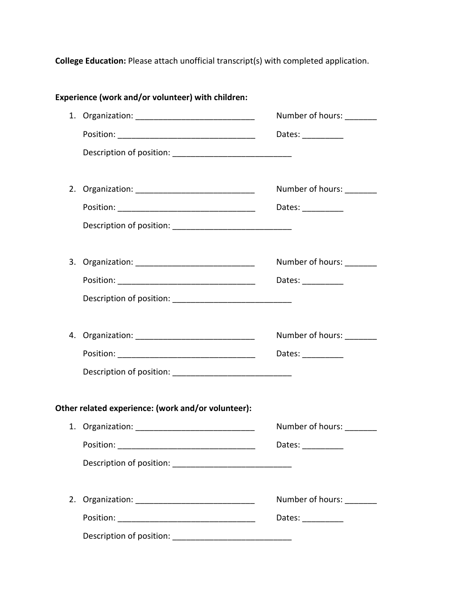**College Education:** Please attach unofficial transcript(s) with completed application.

|    | Experience (work and/or volunteer) with children:  |                                                                                                                                                |
|----|----------------------------------------------------|------------------------------------------------------------------------------------------------------------------------------------------------|
|    |                                                    | Number of hours:                                                                                                                               |
|    |                                                    | Dates: $\frac{1}{\sqrt{1-\frac{1}{2}}\cdot\frac{1}{2}}$                                                                                        |
|    |                                                    |                                                                                                                                                |
|    |                                                    | Number of hours: ________                                                                                                                      |
|    |                                                    | Dates: ___________                                                                                                                             |
|    |                                                    |                                                                                                                                                |
|    |                                                    | Number of hours: _______                                                                                                                       |
|    |                                                    | Dates: __________                                                                                                                              |
|    |                                                    |                                                                                                                                                |
|    |                                                    | Number of hours: _______                                                                                                                       |
|    |                                                    | Dates: __________                                                                                                                              |
|    |                                                    |                                                                                                                                                |
|    | Other related experience: (work and/or volunteer): |                                                                                                                                                |
|    |                                                    | Number of hours: _______                                                                                                                       |
|    | Position:                                          | Dates:                                                                                                                                         |
|    |                                                    |                                                                                                                                                |
| 2. |                                                    | Number of hours:                                                                                                                               |
|    |                                                    | Dates: $\frac{1}{\sqrt{1-\frac{1}{2}}\cdot\frac{1}{\sqrt{1-\frac{1}{2}}\cdot\frac{1}{2}}\cdot\frac{1}{\sqrt{1-\frac{1}{2}}\cdot\frac{1}{2}}}}$ |
|    |                                                    |                                                                                                                                                |

**Experience (work and/or volunteer) with children:**